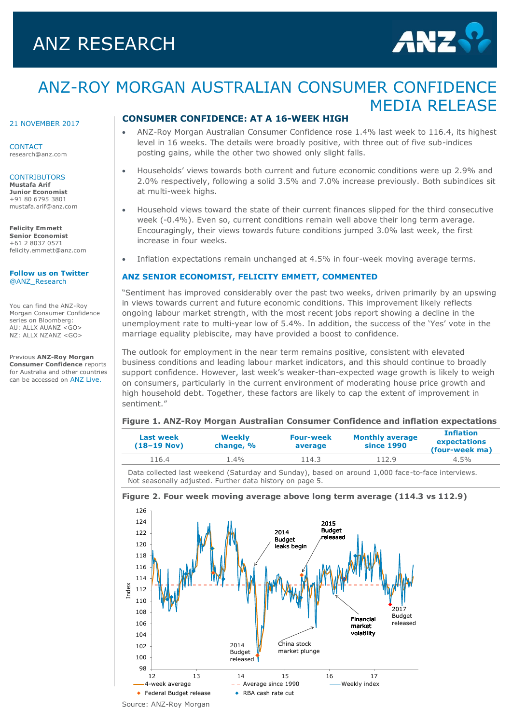# ANZ RESEARCH



# ANZ-ROY MORGAN AUSTRALIAN CONSUMER CONFIDENCE MEDIA RELEASE

#### 21 NOVEMBER 2017

**CONTACT** research@anz.com

#### **CONTRIBUTORS**

**Mustafa Arif Junior Economist** +91 80 6795 3801 mustafa.arif@anz.com

**Felicity Emmett Senior Economist** +61 2 8037 0571 [felicity.emmett@anz.com](mailto:felicity.emmett@anz.com)

**[Follow us on Twitter](http://twitter.com/ANZ_Research)** [@ANZ\\_Research](http://twitter.com/ANZ_Research)

You can find the ANZ-Roy Morgan Consumer Confidence series on Bloomberg: AU: ALLX AUANZ <GO> NZ: ALLX NZANZ <GO>

Previous **ANZ-Roy Morgan Consumer Confidence** reports for Australia and other countries can be accessed on [ANZ Live.](https://anzlive.secure.force.com/cms__Main?name=Publications&tags=Publications%2FANZ-Roy+Morgan+Consumer+Confidence)

### **CONSUMER CONFIDENCE: AT A 16-WEEK HIGH**

- ANZ-Roy Morgan Australian Consumer Confidence rose 1.4% last week to 116.4, its highest level in 16 weeks. The details were broadly positive, with three out of five sub-indices posting gains, while the other two showed only slight falls.
- Households' views towards both current and future economic conditions were up 2.9% and 2.0% respectively, following a solid 3.5% and 7.0% increase previously. Both subindices sit at multi-week highs.
- Household views toward the state of their current finances slipped for the third consecutive week (-0.4%). Even so, current conditions remain well above their long term average. Encouragingly, their views towards future conditions jumped 3.0% last week, the first increase in four weeks.
- Inflation expectations remain unchanged at 4.5% in four-week moving average terms.

### **ANZ SENIOR ECONOMIST, FELICITY EMMETT, COMMENTED**

"Sentiment has improved considerably over the past two weeks, driven primarily by an upswing in views towards current and future economic conditions. This improvement likely reflects ongoing labour market strength, with the most recent jobs report showing a decline in the unemployment rate to multi-year low of 5.4%. In addition, the success of the 'Yes' vote in the marriage equality plebiscite, may have provided a boost to confidence.

The outlook for employment in the near term remains positive, consistent with elevated business conditions and leading labour market indicators, and this should continue to broadly support confidence. However, last week's weaker-than-expected wage growth is likely to weigh on consumers, particularly in the current environment of moderating house price growth and high household debt. Together, these factors are likely to cap the extent of improvement in sentiment."

#### **Figure 1. ANZ-Roy Morgan Australian Consumer Confidence and inflation expectations**

| Last week<br>$(18-19$ Nov) | <b>Weekly</b><br>change, % | <b>Four-week</b><br>average | <b>Monthly average</b><br>since 1990 | <b>Inflation</b><br>expectations<br>(four-week ma)<br>$4.5\%$ |  |
|----------------------------|----------------------------|-----------------------------|--------------------------------------|---------------------------------------------------------------|--|
| 116.4                      | $.4\%$                     | 114.3                       | 112.9                                |                                                               |  |

Data collected last weekend (Saturday and Sunday), based on around 1,000 face-to-face interviews. Not seasonally adjusted. Further data history on page 5.



# **Figure 2. Four week moving average above long term average (114.3 vs 112.9)**

Source: ANZ-Roy Morgan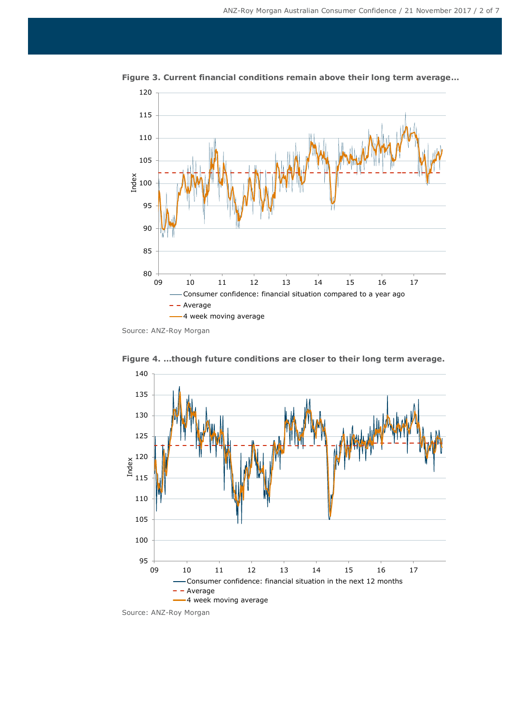

**Figure 3. Current financial conditions remain above their long term average…**

Source: ANZ-Roy Morgan



**Figure 4. …though future conditions are closer to their long term average.**

Source: ANZ-Roy Morgan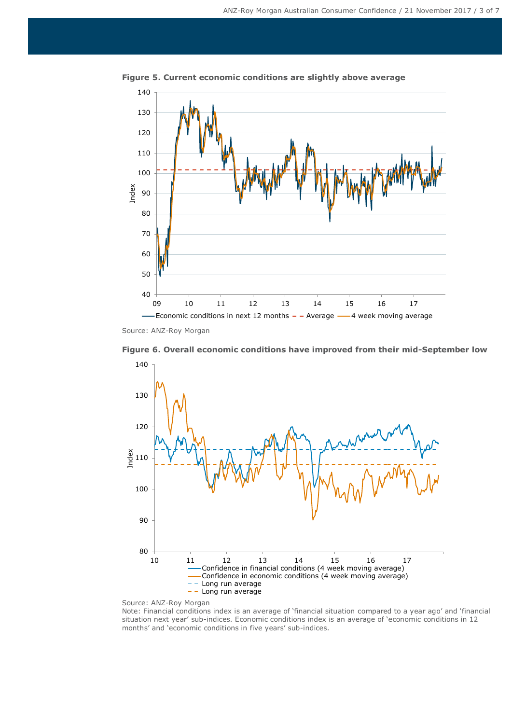

**Figure 5. Current economic conditions are slightly above average**

Source: ANZ-Roy Morgan

**Figure 6. Overall economic conditions have improved from their mid-September low** 140





Note: Financial conditions index is an average of 'financial situation compared to a year ago' and 'financial situation next year' sub-indices. Economic conditions index is an average of 'economic conditions in 12 months' and 'economic conditions in five years' sub-indices.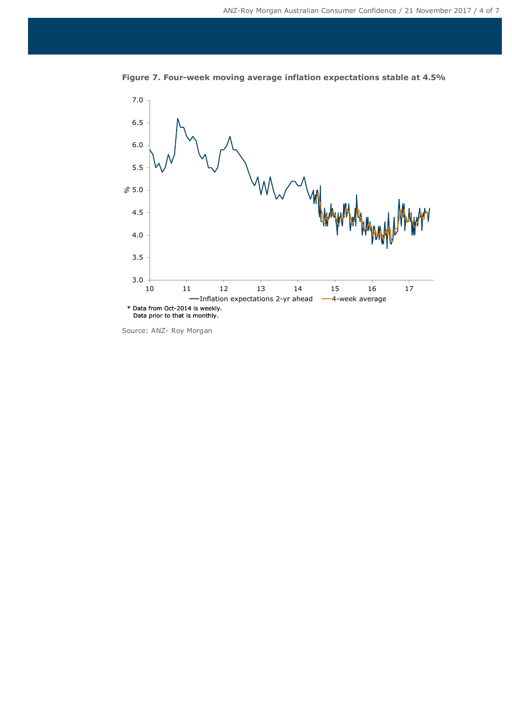

**Figure 7. Four-week moving average inflation expectations stable at 4.5%**

Source: ANZ- Roy Morgan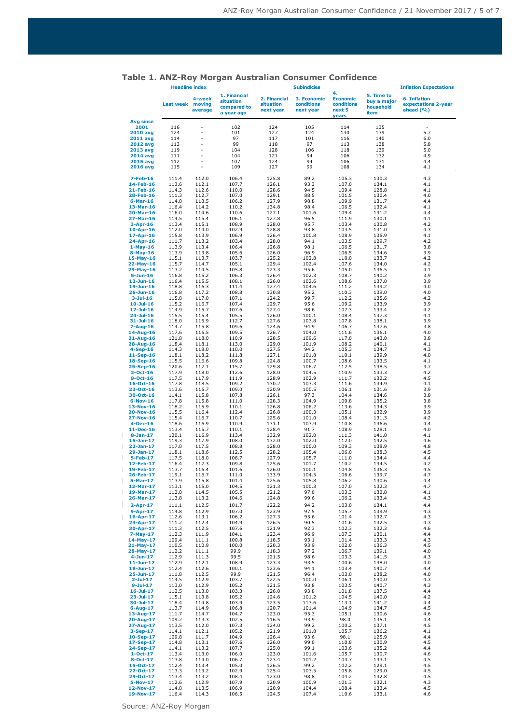|                   | <b>Headline index</b> |                   |                                                        | <b>Subindicies</b>                     |                                        |                                                        | <b>Inflation Expectations</b>                  |                                                         |
|-------------------|-----------------------|-------------------|--------------------------------------------------------|----------------------------------------|----------------------------------------|--------------------------------------------------------|------------------------------------------------|---------------------------------------------------------|
|                   | Last week moving      | 4-week<br>average | 1. Financial<br>situation<br>compared to<br>a year ago | 2. Financial<br>situation<br>next year | 3. Economic<br>conditions<br>next year | 4.<br><b>Economic</b><br>conditions<br>next 5<br>years | 5. Time to<br>buy a major<br>household<br>item | <b>6. Inflation</b><br>expectations 2-year<br>ahead (%) |
| Avg since<br>2001 |                       |                   |                                                        |                                        |                                        |                                                        |                                                |                                                         |
| <b>2010 avg</b>   | 116<br>124            |                   | 102<br>101                                             | 124<br>127                             | 105<br>124                             | 114<br>130                                             | 135<br>139                                     | 5.7                                                     |
| 2011 avg          | 114                   |                   | 97                                                     | 117                                    | 101                                    | 116                                                    | 140                                            | 6.0                                                     |
| <b>2012 avg</b>   | 113                   |                   | 99                                                     | 118                                    | 97                                     | 113                                                    | 138                                            | 5.8                                                     |
| 2013 avg          | 119                   | L,                | 104                                                    | 128                                    | 106                                    | 118                                                    | 139                                            | 5.0                                                     |
| 2014 avg          | 111                   |                   | 104                                                    | 121                                    | 94                                     | 106                                                    | 132                                            | 4.9                                                     |
| <b>2015 avg</b>   | 112                   |                   | 107                                                    | 124                                    | 94                                     | 106                                                    | 131                                            | 4.4                                                     |
| <b>2016 avg</b>   | 115                   |                   | 109                                                    | 127                                    | 99                                     | 108                                                    | 134                                            | 4.1                                                     |
| $7 - Feb - 16$    | 111.4                 | 112.0             | 106.4                                                  | 125.8                                  | 89.2                                   | 105.3                                                  | 130.3                                          | 4.3                                                     |
| 14-Feb-16         | 113.6                 | 112.1             | 107.7                                                  | 126.1                                  | 93.3                                   | 107.0                                                  | 134.1                                          | 4.1                                                     |
| 21-Feb-16         | 114.3                 | 112.6             | 110.0                                                  | 128.6                                  | 94.5                                   | 109.4                                                  | 128.8                                          | 4.1                                                     |
| 28-Feb-16         | 111.3                 | 112.7             | 107.0                                                  | 129.1                                  | 88.5                                   | 101.5                                                  | 130.4                                          | 4.0                                                     |
| $6$ -Mar-16       | 114.8                 | 113.5             | 106.2                                                  | 127.9                                  | 98.8                                   | 109.9                                                  | 131.7                                          | 4.4                                                     |
| 13-Mar-16         | 116.4                 | 114.2             | 110.2                                                  | 134.8                                  | 98.4                                   | 106.5                                                  | 132.4                                          | 4.1                                                     |
| 20-Mar-16         | 116.0                 | 114.6             | 110.6                                                  | 127.1                                  | 101.6                                  | 109.4                                                  | 131.2                                          | 4.4                                                     |
| 27-Mar-16         | 114.5                 | 115.4             | 106.1                                                  | 127.8                                  | 96.5                                   | 111.9                                                  | 130.1                                          | 4.1                                                     |
| $3 - Apr - 16$    | 113.4                 | 115.1             | 108.9                                                  | 128.0                                  | 95.7                                   | 103.4                                                  | 130.8                                          | 4.2                                                     |
| $10-Apr-16$       | 112.0                 | 114.0             | 102.9                                                  | 128.8                                  | 93.8                                   | 103.5                                                  | 131.0                                          | 4.3                                                     |
| 17-Apr-16         | 115.8                 | 113.9             | 106.9                                                  | 126.4                                  | 100.8                                  | 108.9                                                  | 135.9                                          | 4.1                                                     |
| 24-Apr-16         | 111.7                 | 113.2             | 103.4                                                  | 128.0                                  | 94.1                                   | 103.5                                                  | 129.7                                          | 4.2                                                     |
| $1-May-16$        | 113.9                 | 113.4             | 106.4                                                  | 126.8                                  | 98.1                                   | 106.5                                                  | 131.7                                          | 3.8                                                     |
| $8-May-16$        | 113.9                 | 113.8             | 105.6                                                  | 126.0                                  | 96.9                                   | 106.5                                                  | 134.6                                          | 3.9                                                     |
| $15-May-16$       | 115.1                 | 113.7             | 103.7                                                  | 125.2                                  | 102.8                                  | 110.0                                                  | 133.7                                          | 4.2                                                     |
| 22-May-16         | 115.7                 | 114.7             | 105.1                                                  | 129.4                                  | 102.4                                  | 107.6                                                  | 134.0                                          | 4.2                                                     |
| 29-May-16         | 113.2                 | 114.5             | 105.8                                                  | 123.3                                  | 95.6                                   | 105.0                                                  | 136.5                                          | 4.1                                                     |
| $5 - Jun-16$      | 116.8                 | 115.2             | 106.3                                                  | 126.4                                  | 102.3                                  | 108.7                                                  | 140.2                                          | 3.9                                                     |
| $12$ -Jun-16      | 116.4                 | 115.5             | 108.1                                                  | 126.0                                  | 102.6                                  | 108.6                                                  | 137.0                                          | 3.9                                                     |
| 19-Jun-16         | 118.8                 | 116.3             | 111.4                                                  | 127.4                                  | 104.6                                  | 111.2                                                  | 139.2                                          | 4.0                                                     |
| $26 - Jun-16$     | 116.8                 | 117.2             | 108.8                                                  | 130.8                                  | 95.2                                   | 110.3                                                  | 139.0                                          | 4.0                                                     |
| $3-Ju-16$         | 115.8                 | 117.0             | 107.1                                                  | 124.2                                  | 99.7                                   | 112.2                                                  | 135.6                                          | 4.2                                                     |
| $10 -$ Jul-16     | 115.2                 | 116.7             | 107.4                                                  | 129.7                                  | 95.6                                   | 109.2                                                  | 133.9                                          | 3.9                                                     |
| $17 -$ Jul-16     | 114.9                 | 115.7             | 107.6                                                  | 127.4                                  | 98.6                                   | 107.3                                                  | 133.4                                          | 4.2                                                     |
| $24 - Jul - 16$   | 115.5                 | 115.4             | 105.5                                                  | 126.0                                  | 100.1                                  | 108.4                                                  | 137.3                                          | 4.1                                                     |
| $31 -$ Jul-16     | 118.0                 | 115.9             | 112.7                                                  | 127.6                                  | 103.8                                  | 107.8                                                  | 138.1                                          | 3.9                                                     |
| $7 - Aug-16$      | 114.7                 | 115.8             | 109.6                                                  | 124.6                                  | 94.9                                   | 106.7                                                  | 137.6                                          | 3.8                                                     |
| 14-Aug-16         | 117.6                 | 116.5             | 109.5                                                  | 126.7                                  | 104.0                                  | 111.6                                                  | 136.1                                          | 4.0                                                     |
| 21-Aug-16         | 121.8                 | 118.0             | 110.9                                                  | 128.5                                  | 109.6                                  | 117.0                                                  | 143.0                                          | 3.8                                                     |
| 28-Aug-16         | 118.4                 | 118.1             | 113.0                                                  | 129.0                                  | 101.9                                  | 108.2                                                  | 140.1                                          | 4.1                                                     |
| $4-Sep-16$        | 114.3                 | 118.0             | 110.0                                                  | 127.5                                  | 94.2                                   | 105.3                                                  | 134.7                                          | 4.3                                                     |
| 11-Sep-16         | 118.1                 | 118.2             | 111.8                                                  | 127.1                                  | 101.8                                  | 110.1                                                  | 139.9                                          | 4.0                                                     |
| 18-Sep-16         | 115.5                 | 116.6             | 109.8                                                  | 124.8                                  | 100.7                                  | 108.6                                                  | 133.5                                          | 4.1                                                     |
| 25-Sep-16         | 120.6                 | 117.1             | 115.7                                                  | 129.8                                  | 106.7                                  | 112.5                                                  | 138.5                                          | 3.7                                                     |
| $2 - Oct - 16$    | 117.9                 | 118.0             | 112.6                                                  | 128.0                                  | 104.5                                  | 110.9                                                  | 133.3                                          | 4.2                                                     |
| $9-0ct-16$        | 117.5                 | 117.9             | 111.9                                                  | 128.9                                  | 102.9                                  | 111.7                                                  | 132.2                                          | 4.5                                                     |
| $16 - Oct - 16$   | 117.8                 | 118.5             | 109.2                                                  | 130.2                                  | 103.3                                  | 111.6                                                  | 134.9                                          | 4.1                                                     |
| $23-0ct-16$       | 113.6                 | 116.7             | 109.0                                                  | 120.9                                  | 100.5                                  | 106.1                                                  | 131.6                                          | 3.9                                                     |
| 30-Oct-16         | 114.1                 | 115.8             | 107.8                                                  | 126.1                                  | 97.3                                   | 104.4                                                  | 134.6                                          | 3.8                                                     |
| $6-Nov-16$        | 117.8                 | 115.8             | 111.0                                                  | 128.3                                  | 104.9                                  | 109.8                                                  | 135.2                                          | 3.8                                                     |
| 13-Nov-16         | 118.2                 | 115.9             | 110.1                                                  | 126.8                                  | 106.2                                  | 113.6                                                  | 134.3                                          | 3.9                                                     |
| 20-Nov-16         | 115.5                 | 116.4             | 112.4                                                  | 126.8                                  | 100.3                                  | 105.1                                                  | 132.9                                          | 3.9                                                     |
| 27-Nov-16         | 115.4                 | 116.7             | 110.7                                                  | 125.6                                  | 101.0                                  | 108.4                                                  | 131.3                                          | 4.2                                                     |
| $4-Dec-16$        | 118.6                 | 116.9             | 110.9                                                  | 131.1                                  | 103.9                                  | 110.8                                                  | 136.6                                          | 4.4                                                     |
| 11-Dec-16         | 113.4                 | 115.7             | 110.1                                                  | 128.4                                  | 91.7                                   | 108.9                                                  | 128.1                                          | 4.0                                                     |
| $8-Jan-17$        | 120.1                 | 116.9             | 113.4                                                  | 132.9                                  | 102.0                                  | 111.3                                                  | 141.0                                          | 4.1                                                     |
| 15-Jan-17         | 119.3                 | 117.9             | 108.0                                                  | 132.0                                  | 102.0                                  | 112.0                                                  | 142.5                                          | 4.6                                                     |
| 22-Jan-17         | 117.0                 | 117.5             | 108.8                                                  | 128.0                                  | 100.0                                  | 109.3                                                  | 138.9                                          | 4.8                                                     |
| 29-Jan-17         | 118.1                 | 118.6             | 112.5                                                  | 128.2                                  | 105.4                                  | 106.0                                                  | 138.3                                          | 4.5                                                     |
| 5-Feb-17          | 117.5                 | 118.0             | 108.7                                                  | 127.9                                  | 105.7                                  | 111.0                                                  | 134.4                                          | 4.4                                                     |
| 12-Feb-17         | 116.4                 | 117.3             | 109.8                                                  | 125.6                                  | 101.7                                  | 110.2                                                  | 134.5                                          | 4.2                                                     |
| 19-Feb-17         | 113./                 | 116.4             | 101.6                                                  | 126.0                                  | 100.1                                  | 104.8                                                  | 136.3                                          | 4.5                                                     |
| 26-Feb-17         | 119.1                 | 116.7             | 111.0                                                  | 133.9                                  | 104.5                                  | 106.6                                                  | 139.7                                          | 4.7                                                     |
| 5-Mar-17          | 113.9                 | 115.8             | 101.4                                                  | 125.6                                  | 105.8                                  | 106.2                                                  | 130.6                                          | 4.4                                                     |
| 12-Mar-17         | 113.1                 | 115.0             | 104.5                                                  | 121.3                                  | 100.3                                  | 107.0                                                  | 132.3                                          | 4.7                                                     |
| 19-Mar-17         | 112.0                 | 114.5             | 105.5                                                  | 121.2                                  | 97.0                                   | 103.3                                                  | 132.8                                          | 4.1                                                     |
| 26-Mar-17         | 113.8                 | 113.2             | 104.6                                                  | 124.8                                  | 99.6                                   | 106.2                                                  | 133.4                                          | 4.3                                                     |
| $2 - Apr - 17$    | 111.1                 | 112.5             | 101.7                                                  | 122.2                                  | 94.2                                   | 103.0                                                  | 134.1                                          | 4.4                                                     |
| $9 - Apr - 17$    | 114.8                 | 112.9             | 107.0                                                  | 123.9                                  | 97.5                                   | 105.7                                                  | 139.9                                          | 4.3                                                     |
| 16-Apr-17         | 112.6                 | 113.1             | 106.2                                                  | 127.3                                  | 95.6                                   | 101.4                                                  | 132.7                                          | 4.3                                                     |
| 23-Apr-17         | 111.2                 | 112.4             | 104.9                                                  | 126.5                                  | 90.5                                   | 101.6                                                  | 132.5                                          | 4.3                                                     |
| 30-Apr-17         | 111.3                 | 112.5             | 107.6                                                  | 121.9                                  | 92.3                                   | 102.3                                                  | 132.3                                          | 4.6                                                     |
| $7-May-17$        | 112.3                 | 111.9             | 104.1                                                  | 123.4                                  | 96.9                                   | 107.3                                                  | 130.1                                          | 4.4                                                     |
| 14-May-17         | 109.4                 | 111.1             | 100.8                                                  | 118.5                                  | 93.1                                   | 101.4                                                  | 133.3                                          | 4.3                                                     |
| 21-May-17         | 110.5                 | 110.9             | 100.0                                                  | 120.3                                  | 93.9                                   | 102.0                                                  | 136.3                                          | 4.5                                                     |
| 28-May-17         | 112.2                 | 111.1             | 99.9                                                   | 118.3                                  | 97.2                                   | 106.7                                                  | 139.1                                          | 4.0                                                     |
| $4 - Jun-17$      | 112.9                 | 111.3             | 99.5                                                   | 121.5                                  | 98.6                                   | 103.3                                                  | 141.5                                          | 4.3                                                     |
| $11$ -Jun-17      | 112.9                 | 112.1             | 108.9                                                  | 123.3                                  | 93.5                                   | 100.6                                                  | 138.0                                          | 4.0                                                     |
| 18-Jun-17         | 112.4                 | 112.6             | 100.1                                                  | 123.6                                  | 94.1                                   | 103.4                                                  | 140.7                                          | 4.4                                                     |
| 25-Jun-17         | 111.8                 | 112.5             | 99.9                                                   | 121.5                                  | 96.4                                   | 103.0                                                  | 138.2                                          | 4.0                                                     |
| $2 - Jul - 17$    | 114.5                 | 112.9             | 103.7                                                  | 122.5                                  | 100.0                                  | 106.1                                                  | 140.0                                          | 4.3                                                     |
| $9 -$ Jul-17      | 113.0                 | 112.9             | 105.2                                                  | 121.5                                  | 93.8                                   | 103.5                                                  | 140.7                                          | 4.3                                                     |
| $16 -$ Jul-17     | 112.5                 | 113.0             | 103.3                                                  | 126.0                                  | 93.8                                   | 101.8                                                  | 137.5                                          | 4.4                                                     |
| 23-Jul-17         | 115.1                 | 113.8             | 105.2                                                  | 124.6                                  | 101.2                                  | 104.5                                                  | 140.0                                          | 4.2                                                     |
| 30-Jul-17         | 118.4                 | 114.8             | 103.9                                                  | 123.5                                  | 113.6                                  | 113.1                                                  | 141.2                                          | 4.4                                                     |
| $6 - Aug-17$      | 113.7                 | 114.9             | 106.8                                                  | 120.7                                  | 101.4                                  | 104.9                                                  | 134.7                                          | 4.5                                                     |
| 13-Aug-17         | 111.7                 | 114.7             | 104.7                                                  | 123.0                                  | 95.3                                   | 105.1                                                  | 130.6                                          | 4.6                                                     |
| 20-Aug-17         | 109.2                 | 113.3             | 102.5                                                  | 116.5                                  | 93.9                                   | 98.0                                                   | 135.1                                          | 4.4                                                     |
| 27-Aug-17         | 113.5                 | 112.0             | 107.3                                                  | 124.0                                  | 99.2                                   | 100.2                                                  | 137.1                                          | 4.5                                                     |
| $3-Sep-17$        | 114.1                 | 112.1             | 105.2                                                  | 121.9                                  | 101.8                                  | 105.7                                                  | 136.2                                          | 4.1                                                     |
| 10-Sep-17         | 109.8                 | 111.7             | 104.9                                                  | 126.4                                  | 93.6                                   | 98.1                                                   | 125.9                                          | 4.4<br>4.5                                              |
| 17-Sep-17         | 114.8                 | 113.1             | 107.6                                                  | 126.0                                  | 99.0                                   | 110.8                                                  | 130.9                                          | 4.4                                                     |
| 24-Sep-17         | 114.1                 | 113.2             | 107.7                                                  | 125.0                                  | 99.1                                   | 103.6                                                  | 135.2                                          |                                                         |
| $1 - Oct - 17$    | 113.4                 | 113.0             | 106.0                                                  | 123.0                                  | 101.6                                  | 105.7                                                  | 130.7                                          | 4.6                                                     |
| $8 - Oct - 17$    | 113.8                 | 114.0             | 106.7                                                  | 123.4                                  | 101.2                                  | 104.7                                                  | 133.1                                          | 4.5                                                     |
| 15-Oct-17         | 112.4                 | 113.4             | 105.0                                                  | 126.5                                  | 99.2                                   | 102.2                                                  | 129.1                                          | 4.5                                                     |
| 22-Oct-17         | 113.3                 | 113.2             | 102.9                                                  | 125.4                                  | 103.5                                  | 105.8                                                  | 129.0                                          | 4.5                                                     |
| 29-Oct-17         | 113.4                 | 113.2             | 108.4                                                  | 123.0                                  | 98.8                                   | 104.2                                                  | 132.8                                          | 4.5                                                     |
| 5-Nov-17          | 112.6                 | 112.9             | 107.9                                                  | 120.9                                  | 100.9                                  | 101.3                                                  | 132.1                                          | 4.3                                                     |
| 12-Nov-17         | 114.8                 | 113.5             | 106.9                                                  | 120.9                                  | 104.4                                  | 108.4                                                  | 133.4                                          | 4.5                                                     |
| 19-Nov-17         | 116.4                 | 114.3             | 106.5                                                  | 124.5                                  | 107.4                                  | 110.6                                                  | 133.1                                          | 4.6                                                     |
|                   |                       |                   |                                                        |                                        |                                        |                                                        |                                                |                                                         |

### **Table 1. ANZ-Roy Morgan Australian Consumer Confidence**

Source: ANZ-Roy Morgan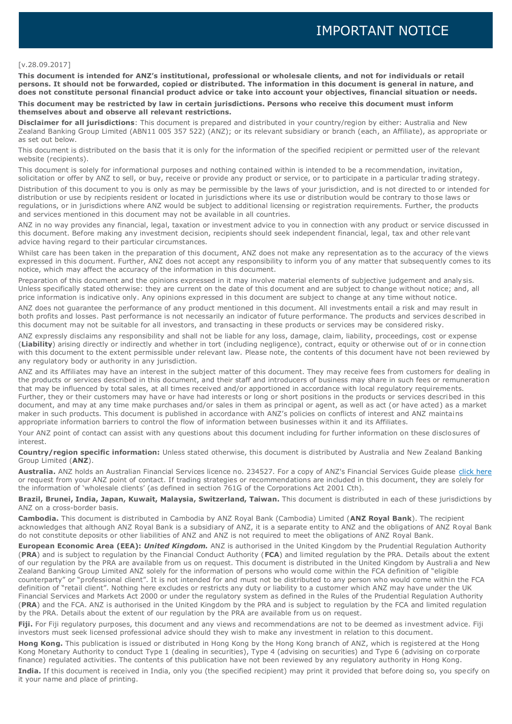#### [v.28.09.2017]

**This document is intended for ANZ's institutional, professional or wholesale clients, and not for individuals or retail persons. It should not be forwarded, copied or distributed. The information in this document is general in nature, and does not constitute personal financial product advice or take into account your objectives, financial situation or needs.** 

**This document may be restricted by law in certain jurisdictions. Persons who receive this document must inform themselves about and observe all relevant restrictions.**

**Disclaimer for all jurisdictions**: This document is prepared and distributed in your country/region by either: Australia and New Zealand Banking Group Limited (ABN11 005 357 522) (ANZ); or its relevant subsidiary or branch (each, an Affiliate), as appropriate or as set out below.

This document is distributed on the basis that it is only for the information of the specified recipient or permitted user of the relevant website (recipients).

This document is solely for informational purposes and nothing contained within is intended to be a recommendation, invitation, solicitation or offer by ANZ to sell, or buy, receive or provide any product or service, or to participate in a particular trading strategy.

Distribution of this document to you is only as may be permissible by the laws of your jurisdiction, and is not directed to or intended for distribution or use by recipients resident or located in jurisdictions where its use or distribution would be contrary to those laws or regulations, or in jurisdictions where ANZ would be subject to additional licensing or registration requirements. Further, the products and services mentioned in this document may not be available in all countries.

ANZ in no way provides any financial, legal, taxation or investment advice to you in connection with any product or service discussed in this document. Before making any investment decision, recipients should seek independent financial, legal, tax and other relevant advice having regard to their particular circumstances.

Whilst care has been taken in the preparation of this document, ANZ does not make any representation as to the accuracy of the views expressed in this document. Further, ANZ does not accept any responsibility to inform you of any matter that subsequently comes to its notice, which may affect the accuracy of the information in this document.

Preparation of this document and the opinions expressed in it may involve material elements of subjective judgement and analysis. Unless specifically stated otherwise: they are current on the date of this document and are subject to change without notice; and, all price information is indicative only. Any opinions expressed in this document are subject to change at any time without notice.

ANZ does not guarantee the performance of any product mentioned in this document. All investments entail a risk and may result in both profits and losses. Past performance is not necessarily an indicator of future performance. The products and services described in this document may not be suitable for all investors, and transacting in these products or services may be considered risky.

ANZ expressly disclaims any responsibility and shall not be liable for any loss, damage, claim, liability, proceedings, cost or expense (**Liability**) arising directly or indirectly and whether in tort (including negligence), contract, equity or otherwise out of or in connection with this document to the extent permissible under relevant law. Please note, the contents of this document have not been reviewed by any regulatory body or authority in any jurisdiction.

ANZ and its Affiliates may have an interest in the subject matter of this document. They may receive fees from customers for dealing in the products or services described in this document, and their staff and introducers of business may share in such fees or remuneration that may be influenced by total sales, at all times received and/or apportioned in accordance with local regulatory requirements. Further, they or their customers may have or have had interests or long or short positions in the products or services described in this document, and may at any time make purchases and/or sales in them as principal or agent, as well as act (or have acted) as a market maker in such products. This document is published in accordance with ANZ's policies on conflicts of interest and ANZ maintains appropriate information barriers to control the flow of information between businesses within it and its Affiliates.

Your ANZ point of contact can assist with any questions about this document including for further information on these disclosures of interest.

**Country/region specific information:** Unless stated otherwise, this document is distributed by Australia and New Zealand Banking Group Limited (**ANZ**).

**Australia.** ANZ holds an Australian Financial Services licence no. 234527. For a copy of ANZ's Financial Services Guide please [click here](http://www.anz.com/documents/AU/aboutANZ/FinancialServicesGuide.pdf) or request from your ANZ point of contact. If trading strategies or recommendations are included in this document, they are solely for the information of 'wholesale clients' (as defined in section 761G of the Corporations Act 2001 Cth).

**Brazil, Brunei, India, Japan, Kuwait, Malaysia, Switzerland, Taiwan.** This document is distributed in each of these jurisdictions by ANZ on a cross-border basis.

**Cambodia.** This document is distributed in Cambodia by ANZ Royal Bank (Cambodia) Limited (**ANZ Royal Bank**). The recipient acknowledges that although ANZ Royal Bank is a subsidiary of ANZ, it is a separate entity to ANZ and the obligations of ANZ Royal Bank do not constitute deposits or other liabilities of ANZ and ANZ is not required to meet the obligations of ANZ Royal Bank.

**European Economic Area (EEA):** *United Kingdom.* ANZ is authorised in the United Kingdom by the Prudential Regulation Authority (**PRA**) and is subject to regulation by the Financial Conduct Authority (**FCA**) and limited regulation by the PRA. Details about the extent of our regulation by the PRA are available from us on request. This document is distributed in the United Kingdom by Australia and New Zealand Banking Group Limited ANZ solely for the information of persons who would come within the FCA definition of "eligible counterparty" or "professional client". It is not intended for and must not be distributed to any person who would come within the FCA definition of "retail client". Nothing here excludes or restricts any duty or liability to a customer which ANZ may have under the UK Financial Services and Markets Act 2000 or under the regulatory system as defined in the Rules of the Prudential Regulation Authority (**PRA**) and the FCA. ANZ is authorised in the United Kingdom by the PRA and is subject to regulation by the FCA and limited regulation by the PRA. Details about the extent of our regulation by the PRA are available from us on request.

**Fiji.** For Fiji regulatory purposes, this document and any views and recommendations are not to be deemed as investment advice. Fiji investors must seek licensed professional advice should they wish to make any investment in relation to this document.

**Hong Kong.** This publication is issued or distributed in Hong Kong by the Hong Kong branch of ANZ, which is registered at the Hong Kong Monetary Authority to conduct Type 1 (dealing in securities), Type 4 (advising on securities) and Type 6 (advising on corporate finance) regulated activities. The contents of this publication have not been reviewed by any regulatory authority in Hong Kong.

**India.** If this document is received in India, only you (the specified recipient) may print it provided that before doing so, you specify on it your name and place of printing.